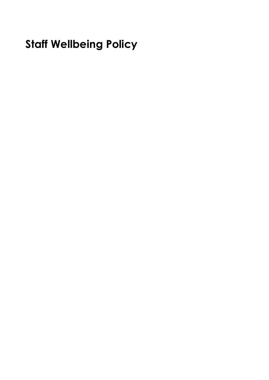# **Staff Wellbeing Policy**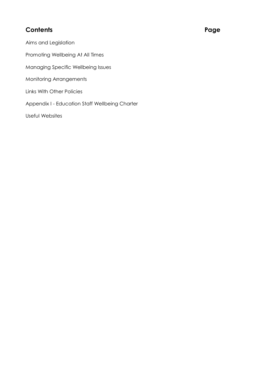# **Contents Page**

Aims and Legislation Promoting Wellbeing At All Times Managing Specific Wellbeing Issues Monitoring Arrangements Links With Other Policies Appendix I - Education Staff Wellbeing Charter

Useful Websites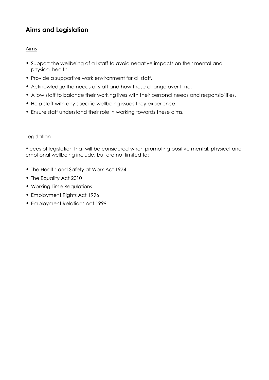# **Aims and Legislation**

#### Aims

- Support the wellbeing of all staff to avoid negative impacts on their mental and physical health.
- Provide a supportive work environment for all staff.
- Acknowledge the needs of staff and how these change over time.
- Allow staff to balance their working lives with their personal needs and responsibilities.
- Help staff with any specific wellbeing issues they experience.
- Ensure staff understand their role in working towards these aims.

#### **Legislation**

Pieces of legislation that will be considered when promoting positive mental, physical and emotional wellbeing include, but are not limited to:

- The Health and Safety at Work Act 1974
- The Equality Act 2010
- Working Time Regulations
- Employment Rights Act 1996
- Employment Relations Act 1999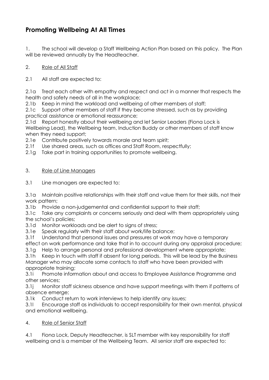# **Promoting Wellbeing At All Times**

1. The school will develop a Staff Wellbeing Action Plan based on this policy. The Plan will be reviewed annually by the Headteacher.

#### 2. Role of All Staff

2.1 All staff are expected to:

2.1a Treat each other with empathy and respect and act in a manner that respects the health and safety needs of all in the workplace;

2.1b Keep in mind the workload and wellbeing of other members of staff;

2.1c Support other members of staff if they become stressed, such as by providing practical assistance or emotional reassurance;

2.1d Report honestly about their wellbeing and let Senior Leaders (Fiona Lock is Wellbeing Lead), the Wellbeing team, Induction Buddy or other members of staff know when they need support;

2.1e Contribute positively towards morale and team spirit;

2.1f Use shared areas, such as offices and Staff Room, respectfully;

2.1g Take part in training opportunities to promote wellbeing.

#### 3. Role of Line Managers

3.1 Line managers are expected to:

3.1a Maintain positive relationships with their staff and value them for their skills, not their work pattern;

3.1b Provide a non-judgemental and confidential support to their staff;

3.1c Take any complaints or concerns seriously and deal with them appropriately using the school's policies;

3.1d Monitor workloads and be alert to signs of stress:

3.1e Speak regularly with their staff about work/life balance;

3.1f Understand that personal issues and pressures at work may have a temporary

effect on work performance and take that in to account during any appraisal procedure;

3.1g Help to arrange personal and professional development where appropriate;

3.1h Keep in touch with staff if absent for long periods. This will be lead by the Business Manager who may allocate some contacts to staff who have been provided with appropriate training;

3.1i Promote information about and access to Employee Assistance Programme and other services;

3.1j Monitor staff sickness absence and have support meetings with them if patterns of absence emerge;

3.1k Conduct return to work interviews to help identify any issues;

3.1l Encourage staff as individuals to accept responsibility for their own mental, physical and emotional wellbeing.

#### 4. Role of Senior Staff

4.1 Fiona Lock, Deputy Headteacher, is SLT member with key responsibility for staff wellbeing and is a member of the Wellbeing Team. All senior staff are expected to: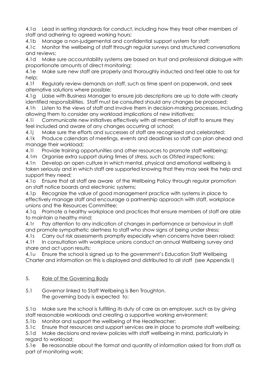4.1a Lead in setting standards for conduct, including how they treat other members of staff and adhering to agreed working hours;

4.1b Manage a non-judgemental and confidential support system for staff;

4.1c Monitor the wellbeing of staff through regular surveys and structured conversations and reviews;

4.1d Make sure accountability systems are based on trust and professional dialogue with proportionate amounts of direct monitoring;

4.1e Make sure new staff are properly and thoroughly inducted and feel able to ask for help;

4.1f Regularly review demands on staff, such as time spent on paperwork, and seek alternative solutions where possible;

4.1g Liaise with Business Manager to ensure job descriptions are up to date with clearly identified responsibilities. Staff must be consulted should any changes be proposed;

4.1h Listen to the views of staff and involve them in decision-making processes, including allowing them to consider any workload implications of new initiatives;

4.1i Communicate new initiatives effectively with all members of staff to ensure they feel included and aware of any changes occurring at school;

4.1j Make sure the efforts and successes of staff are recognised and celebrated;

4.1k Produce calendars of meetings, events and deadlines so staff can plan ahead and manage their workload;

4.1l Provide training opportunities and other resources to promote staff wellbeing;

4.1m Organise extra support during times of stress, such as Ofsted inspections;

4.1n Develop an open culture in which mental, physical and emotional wellbeing is taken seriously and in which staff are supported knowing that they may seek the help and support they need;

4.1o Ensure that all staff are aware of the Wellbeing Policy through regular promotion on staff notice boards and electronic systems;

4.1p Recognize the value of good management practice with systems in place to effectively manage staff and encourage a partnership approach with staff, workplace unions and the Resources Committee;

4.1q Promote a healthy workplace and practices that ensure members of staff are able to maintain a healthy mind;

4.1r Pay attention to any indication of changes in performance or behaviour in staff and promote sympathetic alertness to staff who show signs of being under stress;

4.1s Carry out risk assessments promptly especially when concerns have been raised;

4.1t In consultation with workplace unions conduct an annual Wellbeing survey and share and act upon results;

4.1u Ensure the school is signed up to the government's Education Staff Wellbeing Charter and information on this is displayed and distributed to all staff (see Appendix I)

### 5. Role of the Governing Body

5.1 Governor linked to Staff Wellbeing is Ben Troughton. The governing body is expected to:

5.1a Make sure the school is fulfilling its duty of care as an employer, such as by giving staff reasonable workloads and creating a supportive working environment;

5.1b Monitor and support the wellbeing of the Headteacher;

5.1c Ensure that resources and support services are in place to promote staff wellbeing;

5.1d Make decisions and review policies with staff wellbeing in mind, particularly in regard to workload;

5.1e Be reasonable about the format and quantity of information asked for from staff as part of monitoring work;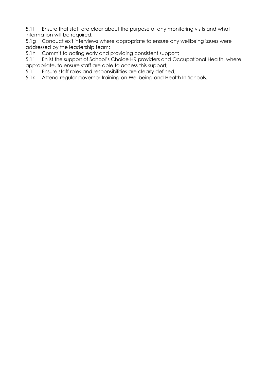5.1f Ensure that staff are clear about the purpose of any monitoring visits and what information will be required;

5.1g Conduct exit interviews where appropriate to ensure any wellbeing issues were addressed by the leadership team;

5.1h Commit to acting early and providing consistent support;

5.1i Enlist the support of School's Choice HR providers and Occupational Health, where appropriate, to ensure staff are able to access this support;

5.1j Ensure staff roles and responsibilities are clearly defined;

5.1k Attend regular governor training on Wellbeing and Health In Schools.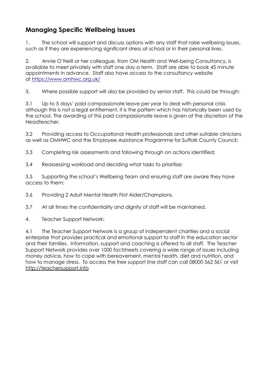# **Managing Specific Wellbeing Issues**

1. The school will support and discuss options with any staff that raise wellbeing issues, such as if they are experiencing significant stress at school or in their personal lives.

2. Annie O'Neill or her colleague, from OM Health and Well-being Consultancy, is available to meet privately with staff one day a term. Staff are able to book 45 minute appointments in advance. Staff also have access to the consultancy website at <https://www.omhwc.org.uk/>

3. Where possible support will also be provided by senior staff. This could be through:

3.1 Up to 5 days' paid compassionate leave per year to deal with personal crisis although this is not a legal entitlement, it is the pattern which has historically been used by the school. The awarding of this paid compassionate leave is given at the discretion of the Headteacher.

3.2 Providing access to Occupational Health professionals and other suitable clinicians as well as OMHWC and the Employee Assistance Programme for Suffolk County Council;

3.3 Completing risk assessments and following through on actions identified;

3.4 Reassessing workload and deciding what tasks to prioritise;

3.5 Supporting the school's Wellbeing Team and ensuring staff are aware they have access to them;

3.6 Providing 2 Adult Mental Health First Aider/Champions.

3.7 At all times the confidentiality and dignity of staff will be maintained.

4. Teacher Support Network:

4.1 The Teacher Support Network is a group of independent charities and a social enterprise that provides practical and emotional support to staff in the education sector and their families. Information, support and coaching is offered to all staff. The Teacher Support Network provides over 1000 factsheets covering a wide range of issues including money advice, how to cope with bereavement, mental health, diet and nutrition, and how to manage stress. To access the free support line staff can call 08000 562 561 or visit [http://teachersupport.info](http://teachersupport.info/)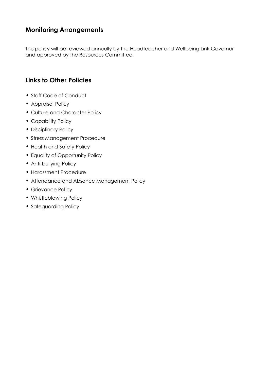# **Monitoring Arrangements**

This policy will be reviewed annually by the Headteacher and Wellbeing Link Governor and approved by the Resources Committee.

# **Links to Other Policies**

- Staff Code of Conduct
- Appraisal Policy
- Culture and Character Policy
- Capability Policy
- Disciplinary Policy
- Stress Management Procedure
- Health and Safety Policy
- Equality of Opportunity Policy
- Anti-bullying Policy
- Harassment Procedure
- Attendance and Absence Management Policy
- Grievance Policy
- Whistleblowing Policy
- Safeguarding Policy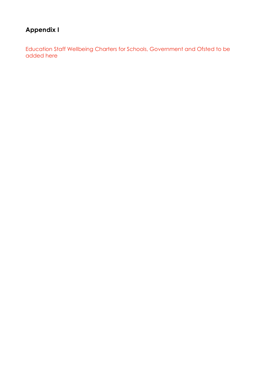# **Appendix I**

Education Staff Wellbeing Charters for Schools, Government and Ofsted to be added here